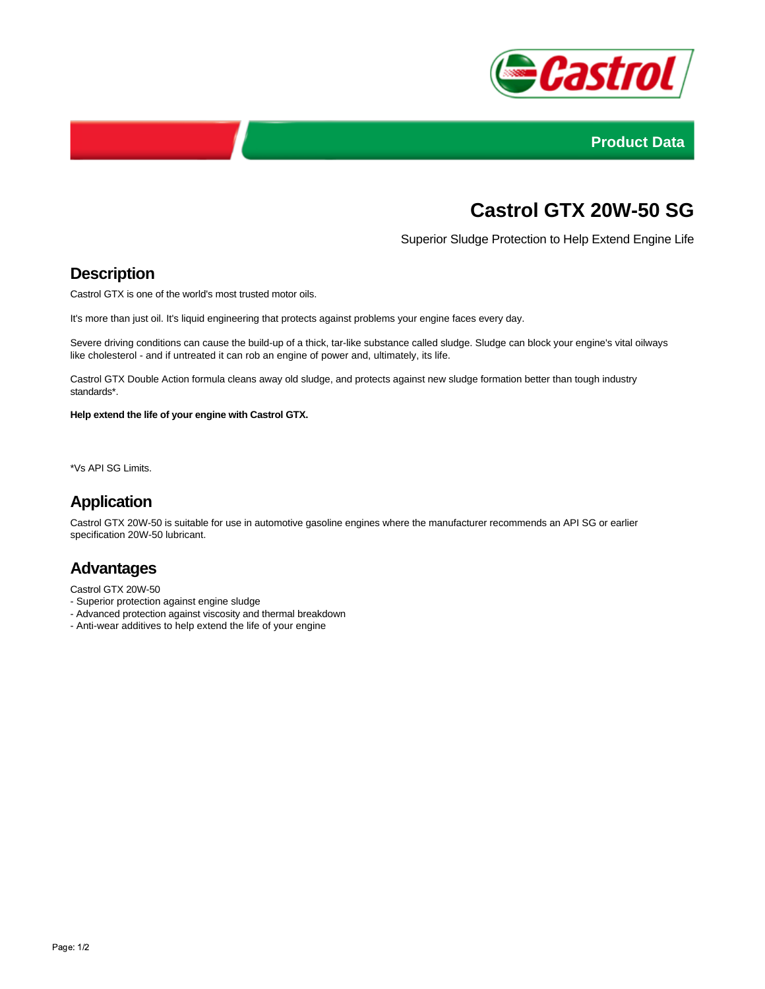



# **Castrol GTX 20W-50 SG**

Superior Sludge Protection to Help Extend Engine Life

## **Description**

Castrol GTX is one of the world's most trusted motor oils.

It's more than just oil. It's liquid engineering that protects against problems your engine faces every day.

Severe driving conditions can cause the build-up of a thick, tar-like substance called sludge. Sludge can block your engine's vital oilways like cholesterol - and if untreated it can rob an engine of power and, ultimately, its life.

Castrol GTX Double Action formula cleans away old sludge, and protects against new sludge formation better than tough industry standards\*.

**Help extend the life of your engine with Castrol GTX.**

\*Vs API SG Limits.

## **Application**

Castrol GTX 20W-50 is suitable for use in automotive gasoline engines where the manufacturer recommends an API SG or earlier specification 20W-50 lubricant.

### **Advantages**

Castrol GTX 20W-50

- Superior protection against engine sludge
- Advanced protection against viscosity and thermal breakdown
- Anti-wear additives to help extend the life of your engine